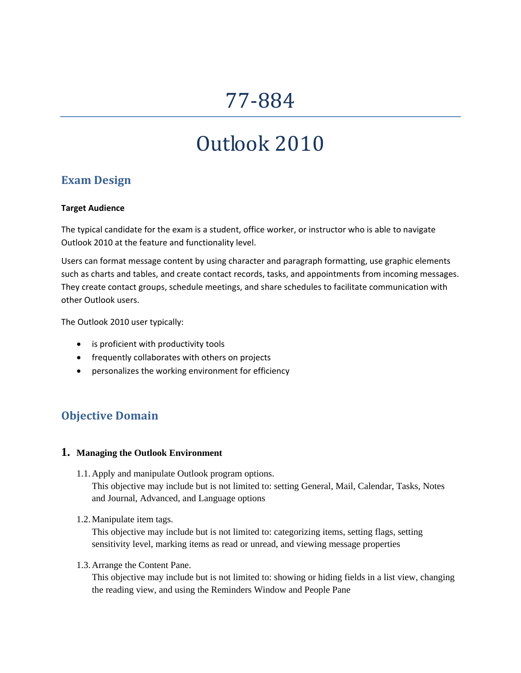## 77‐884

# Outlook 2010

## **Exam Design**

#### **Target Audience**

The typical candidate for the exam is a student, office worker, or instructor who is able to navigate Outlook 2010 at the feature and functionality level.

Users can format message content by using character and paragraph formatting, use graphic elements such as charts and tables, and create contact records, tasks, and appointments from incoming messages. They create contact groups, schedule meetings, and share schedules to facilitate communication with other Outlook users.

The Outlook 2010 user typically:

- is proficient with productivity tools
- frequently collaborates with others on projects
- personalizes the working environment for efficiency

## **Objective Domain**

#### **1. Managing the Outlook Environment**

- 1.1.Apply and manipulate Outlook program options. This objective may include but is not limited to: setting General, Mail, Calendar, Tasks, Notes and Journal, Advanced, and Language options
- 1.2.Manipulate item tags.

This objective may include but is not limited to: categorizing items, setting flags, setting sensitivity level, marking items as read or unread, and viewing message properties

1.3.Arrange the Content Pane.

This objective may include but is not limited to: showing or hiding fields in a list view, changing the reading view, and using the Reminders Window and People Pane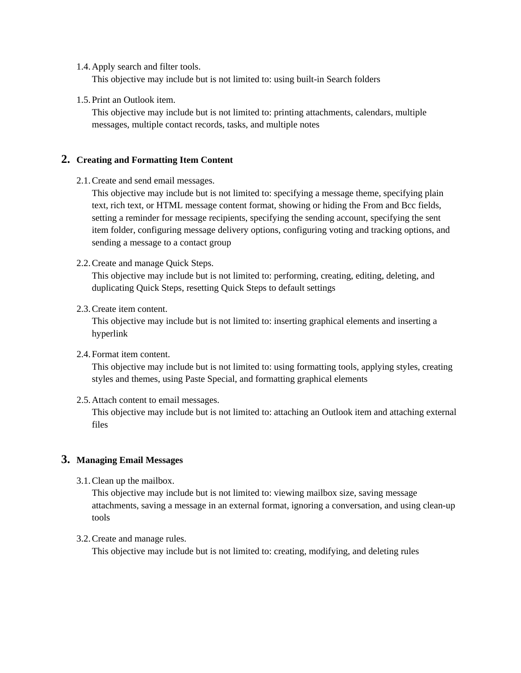1.4.Apply search and filter tools.

This objective may include but is not limited to: using built-in Search folders

1.5.Print an Outlook item.

This objective may include but is not limited to: printing attachments, calendars, multiple messages, multiple contact records, tasks, and multiple notes

#### **2. Creating and Formatting Item Content**

2.1.Create and send email messages.

This objective may include but is not limited to: specifying a message theme, specifying plain text, rich text, or HTML message content format, showing or hiding the From and Bcc fields, setting a reminder for message recipients, specifying the sending account, specifying the sent item folder, configuring message delivery options, configuring voting and tracking options, and sending a message to a contact group

2.2.Create and manage Quick Steps.

This objective may include but is not limited to: performing, creating, editing, deleting, and duplicating Quick Steps, resetting Quick Steps to default settings

2.3.Create item content.

This objective may include but is not limited to: inserting graphical elements and inserting a hyperlink

2.4.Format item content.

This objective may include but is not limited to: using formatting tools, applying styles, creating styles and themes, using Paste Special, and formatting graphical elements

2.5.Attach content to email messages.

This objective may include but is not limited to: attaching an Outlook item and attaching external files

#### **3. Managing Email Messages**

3.1.Clean up the mailbox.

This objective may include but is not limited to: viewing mailbox size, saving message attachments, saving a message in an external format, ignoring a conversation, and using clean-up tools

3.2.Create and manage rules.

This objective may include but is not limited to: creating, modifying, and deleting rules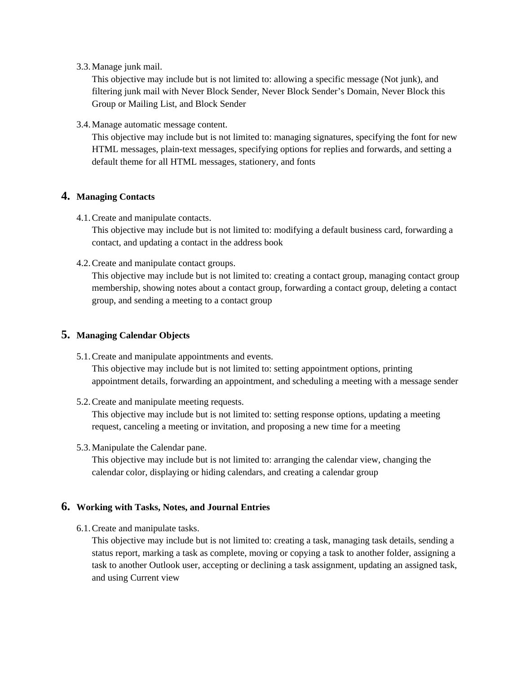3.3.Manage junk mail.

This objective may include but is not limited to: allowing a specific message (Not junk), and filtering junk mail with Never Block Sender, Never Block Sender's Domain, Never Block this Group or Mailing List, and Block Sender

3.4.Manage automatic message content.

This objective may include but is not limited to: managing signatures, specifying the font for new HTML messages, plain-text messages, specifying options for replies and forwards, and setting a default theme for all HTML messages, stationery, and fonts

#### **4. Managing Contacts**

4.1.Create and manipulate contacts.

This objective may include but is not limited to: modifying a default business card, forwarding a contact, and updating a contact in the address book

4.2.Create and manipulate contact groups.

This objective may include but is not limited to: creating a contact group, managing contact group membership, showing notes about a contact group, forwarding a contact group, deleting a contact group, and sending a meeting to a contact group

#### **5. Managing Calendar Objects**

5.1.Create and manipulate appointments and events.

This objective may include but is not limited to: setting appointment options, printing appointment details, forwarding an appointment, and scheduling a meeting with a message sender

5.2.Create and manipulate meeting requests.

This objective may include but is not limited to: setting response options, updating a meeting request, canceling a meeting or invitation, and proposing a new time for a meeting

5.3.Manipulate the Calendar pane.

This objective may include but is not limited to: arranging the calendar view, changing the calendar color, displaying or hiding calendars, and creating a calendar group

#### **6. Working with Tasks, Notes, and Journal Entries**

6.1.Create and manipulate tasks.

This objective may include but is not limited to: creating a task, managing task details, sending a status report, marking a task as complete, moving or copying a task to another folder, assigning a task to another Outlook user, accepting or declining a task assignment, updating an assigned task, and using Current view